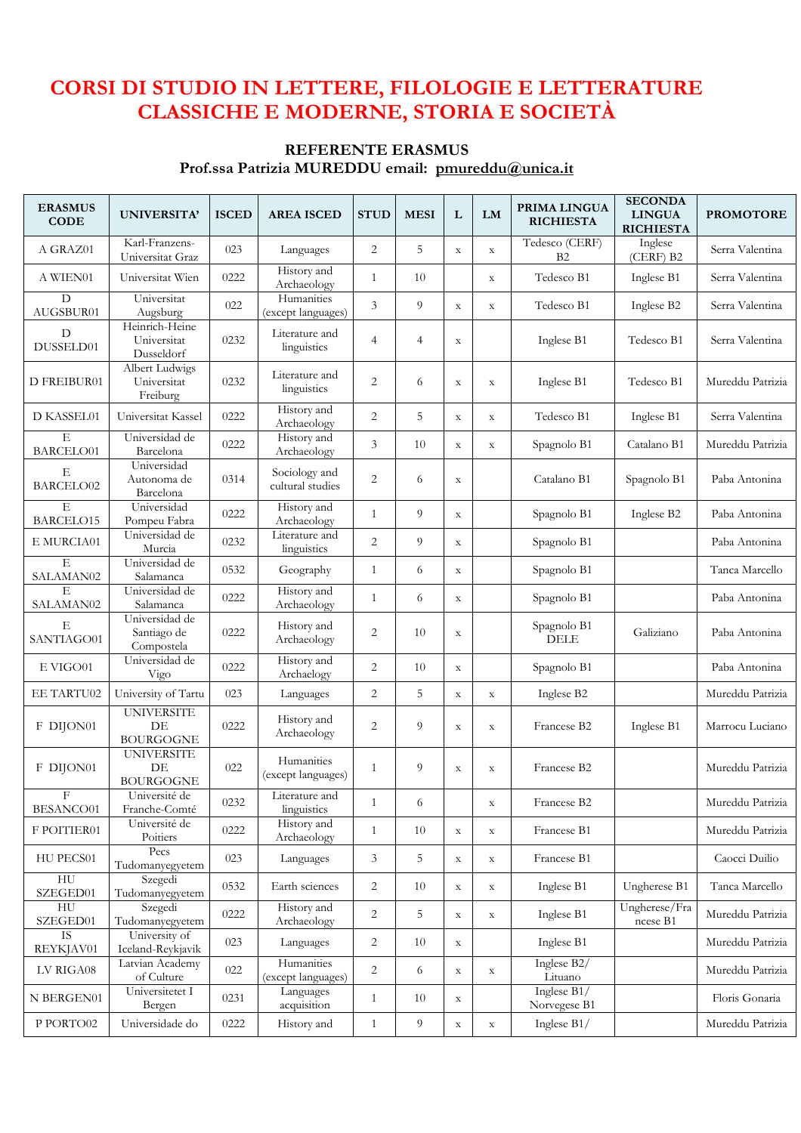## **CORSI DI STUDIO IN LETTERE, FILOLOGIE E LETTERATURE CLASSICHE E MODERNE, STORIA E SOCIETÀ**

#### **REFERENTE ERASMUS Prof.ssa Patrizia MUREDDU email: pmureddu@unica.it**

| <b>ERASMUS</b><br><b>CODE</b> | <b>UNIVERSITA'</b>                          | <b>ISCED</b> | <b>AREA ISCED</b>                 | <b>STUD</b>    | <b>MESI</b>    | L           | LM          | PRIMA LINGUA<br><b>RICHIESTA</b> | <b>SECONDA</b><br><b>LINGUA</b><br><b>RICHIESTA</b> | <b>PROMOTORE</b> |
|-------------------------------|---------------------------------------------|--------------|-----------------------------------|----------------|----------------|-------------|-------------|----------------------------------|-----------------------------------------------------|------------------|
| A GRAZ01                      | Karl-Franzens-<br>Universitat Graz          | 023          | Languages                         | $\overline{2}$ | 5              | $\mathbf X$ | $\mathbf X$ | Tedesco (CERF)<br>B2             | Inglese<br>(CERF) B2                                | Serra Valentina  |
| A WIEN01                      | Universitat Wien                            | 0222         | History and<br>Archaeology        | 1              | 10             |             | $\mathbf X$ | Tedesco B1                       | Inglese B1                                          | Serra Valentina  |
| D<br>AUGSBUR01                | Universitat<br>Augsburg                     | 022          | Humanities<br>(except languages)  | 3              | 9              | $\mathbf X$ | $\mathbf X$ | Tedesco B1                       | Inglese B2                                          | Serra Valentina  |
| D<br>DUSSELD01                | Heinrich-Heine<br>Universitat<br>Dusseldorf | 0232         | Literature and<br>linguistics     | 4              | $\overline{4}$ | $\mathbf X$ |             | Inglese B1                       | Tedesco B1                                          | Serra Valentina  |
| D FREIBUR01                   | Albert Ludwigs<br>Universitat<br>Freiburg   | 0232         | Literature and<br>linguistics     | $\overline{c}$ | 6              | $\mathbf X$ | $\mathbf X$ | Inglese B1                       | Tedesco B1                                          | Mureddu Patrizia |
| D KASSEL01                    | Universitat Kassel                          | 0222         | History and<br>Archaeology        | $\overline{2}$ | 5              | $\mathbf X$ | $\mathbf X$ | Tedesco B1                       | Inglese B1                                          | Serra Valentina  |
| E<br>BARCELO01                | Universidad de<br>Barcelona                 | 0222         | History and<br>Archaeology        | 3              | 10             | $\mathbf X$ | $\mathbf X$ | Spagnolo B1                      | Catalano B1                                         | Mureddu Patrizia |
| Е<br><b>BARCELO02</b>         | Universidad<br>Autonoma de<br>Barcelona     | 0314         | Sociology and<br>cultural studies | $\overline{c}$ | 6              | $\mathbf X$ |             | Catalano B1                      | Spagnolo B1                                         | Paba Antonina    |
| E<br>BARCELO15                | Universidad<br>Pompeu Fabra                 | 0222         | History and<br>Archaeology        | 1              | 9              | $\mathbf X$ |             | Spagnolo B1                      | Inglese B2                                          | Paba Antonina    |
| E MURCIA01                    | Universidad de<br>Murcia                    | 0232         | Literature and<br>linguistics     | $\overline{2}$ | 9              | $\mathbf X$ |             | Spagnolo B1                      |                                                     | Paba Antonina    |
| E<br>SALAMAN02                | Universidad de<br>Salamanca                 | 0532         | Geography                         | $\mathbf{1}$   | 6              | $\mathbf X$ |             | Spagnolo B1                      |                                                     | Tanca Marcello   |
| E<br>SALAMAN02                | Universidad de<br>Salamanca                 | 0222         | History and<br>Archaeology        | 1              | 6              | $\mathbf X$ |             | Spagnolo B1                      |                                                     | Paba Antonina    |
| E<br>SANTIAGO01               | Universidad de<br>Santiago de<br>Compostela | 0222         | History and<br>Archaeology        | $\overline{c}$ | 10             | $\mathbf X$ |             | Spagnolo B1<br><b>DELE</b>       | Galiziano                                           | Paba Antonina    |
| E VIGO01                      | Universidad de<br>Vigo                      | 0222         | History and<br>Archaelogy         | $\overline{2}$ | 10             | $\mathbf X$ |             | Spagnolo B1                      |                                                     | Paba Antonina    |
| EE TARTU02                    | University of Tartu                         | 023          | Languages                         | $\overline{2}$ | 5              | $\mathbf X$ | $\mathbf X$ | Inglese B2                       |                                                     | Mureddu Patrizia |
| F DIJON01                     | <b>UNIVERSITE</b><br>DE<br><b>BOURGOGNE</b> | 0222         | History and<br>Archaeology        | $\overline{2}$ | 9              | $\mathbf X$ | $\mathbf X$ | Francese B2                      | Inglese B1                                          | Marrocu Luciano  |
| F DIJON01                     | <b>UNIVERSITE</b><br>DE<br><b>BOURGOGNE</b> | 022          | Humanities<br>(except languages)  | 1              | 9              | $\mathbf X$ | $\mathbf X$ | Francese B2                      |                                                     | Mureddu Patrizia |
| F<br>BESANCO01                | Université de<br>Franche-Comté              | 0232         | Literature and<br>linguistics     | 1              | 6              |             | $\mathbf X$ | Francese B2                      |                                                     | Mureddu Patrizia |
| F POITIER01                   | Université de<br>Poitiers                   | 0222         | History and<br>Archaeology        | 1              | $10\,$         | $\mathbf X$ | $\mathbf X$ | Francese B1                      |                                                     | Mureddu Patrizia |
| HU PECS01                     | Pecs<br>Tudomanyegyetem                     | 023          | Languages                         | 3              | 5              | $\mathbf X$ | $\mathbf X$ | Francese B1                      |                                                     | Caocci Duilio    |
| HU<br>SZEGED01                | Szegedi<br>Tudomanyegyetem                  | 0532         | Earth sciences                    | 2              | 10             | $\mathbf X$ | $\mathbf X$ | Inglese B1                       | Ungherese B1                                        | Tanca Marcello   |
| HU<br>SZEGED01                | Szegedi<br>Tudomanyegyetem                  | 0222         | History and<br>Archaeology        | 2              | 5              | $\mathbf X$ | $\mathbf X$ | Inglese B1                       | Ungherese/Fra<br>ncese B1                           | Mureddu Patrizia |
| <b>IS</b><br>REYKJAV01        | University of<br>Iceland-Reykjavik          | 023          | Languages                         | 2              | $10\,$         | $\mathbf X$ |             | Inglese B1                       |                                                     | Mureddu Patrizia |
| LV RIGA08                     | Latvian Academy<br>of Culture               | 022          | Humanities<br>(except languages)  | $\sqrt{2}$     | 6              | $\mathbf X$ | $\mathbf X$ | Inglese B2/<br>Lituano           |                                                     | Mureddu Patrizia |
| N BERGEN01                    | Universitetet I<br>Bergen                   | 0231         | Languages<br>acquisition          | $\mathbf{1}$   | $10\,$         | $\mathbf X$ |             | Inglese B1/<br>Norvegese B1      |                                                     | Floris Gonaria   |
| P PORTO02                     | Universidade do                             | 0222         | History and                       | 1              | 9              | $\mathbf X$ | $\mathbf X$ | Inglese B1/                      |                                                     | Mureddu Patrizia |